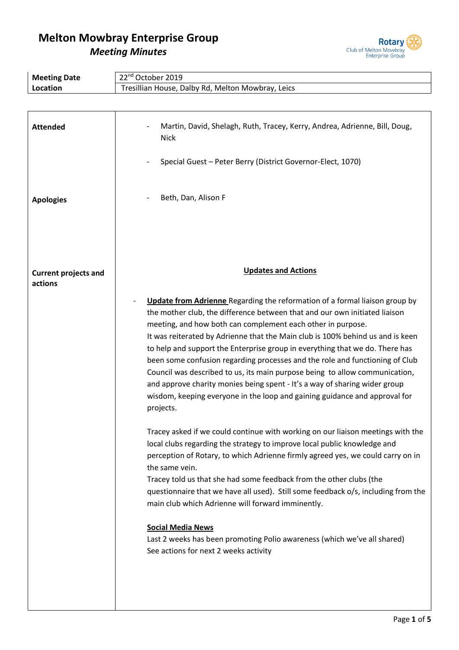

| <b>Meeting Date</b>                    | 22 <sup>nd</sup> October 2019                                                                                                                                                                                                                                                                                                                                                                                                                                                                                                                                                                                                                                                                                                      |  |  |
|----------------------------------------|------------------------------------------------------------------------------------------------------------------------------------------------------------------------------------------------------------------------------------------------------------------------------------------------------------------------------------------------------------------------------------------------------------------------------------------------------------------------------------------------------------------------------------------------------------------------------------------------------------------------------------------------------------------------------------------------------------------------------------|--|--|
| Location                               | Tresillian House, Dalby Rd, Melton Mowbray, Leics                                                                                                                                                                                                                                                                                                                                                                                                                                                                                                                                                                                                                                                                                  |  |  |
|                                        |                                                                                                                                                                                                                                                                                                                                                                                                                                                                                                                                                                                                                                                                                                                                    |  |  |
|                                        |                                                                                                                                                                                                                                                                                                                                                                                                                                                                                                                                                                                                                                                                                                                                    |  |  |
| <b>Attended</b>                        | Martin, David, Shelagh, Ruth, Tracey, Kerry, Andrea, Adrienne, Bill, Doug,<br><b>Nick</b>                                                                                                                                                                                                                                                                                                                                                                                                                                                                                                                                                                                                                                          |  |  |
|                                        | Special Guest - Peter Berry (District Governor-Elect, 1070)                                                                                                                                                                                                                                                                                                                                                                                                                                                                                                                                                                                                                                                                        |  |  |
| <b>Apologies</b>                       | Beth, Dan, Alison F                                                                                                                                                                                                                                                                                                                                                                                                                                                                                                                                                                                                                                                                                                                |  |  |
|                                        |                                                                                                                                                                                                                                                                                                                                                                                                                                                                                                                                                                                                                                                                                                                                    |  |  |
| <b>Current projects and</b><br>actions | <b>Updates and Actions</b>                                                                                                                                                                                                                                                                                                                                                                                                                                                                                                                                                                                                                                                                                                         |  |  |
|                                        | Update from Adrienne Regarding the reformation of a formal liaison group by<br>the mother club, the difference between that and our own initiated liaison<br>meeting, and how both can complement each other in purpose.<br>It was reiterated by Adrienne that the Main club is 100% behind us and is keen<br>to help and support the Enterprise group in everything that we do. There has<br>been some confusion regarding processes and the role and functioning of Club<br>Council was described to us, its main purpose being to allow communication,<br>and approve charity monies being spent - It's a way of sharing wider group<br>wisdom, keeping everyone in the loop and gaining guidance and approval for<br>projects. |  |  |
|                                        | Tracey asked if we could continue with working on our liaison meetings with the<br>local clubs regarding the strategy to improve local public knowledge and<br>perception of Rotary, to which Adrienne firmly agreed yes, we could carry on in<br>the same vein.<br>Tracey told us that she had some feedback from the other clubs (the<br>questionnaire that we have all used). Still some feedback o/s, including from the<br>main club which Adrienne will forward imminently.<br><b>Social Media News</b><br>Last 2 weeks has been promoting Polio awareness (which we've all shared)<br>See actions for next 2 weeks activity                                                                                                 |  |  |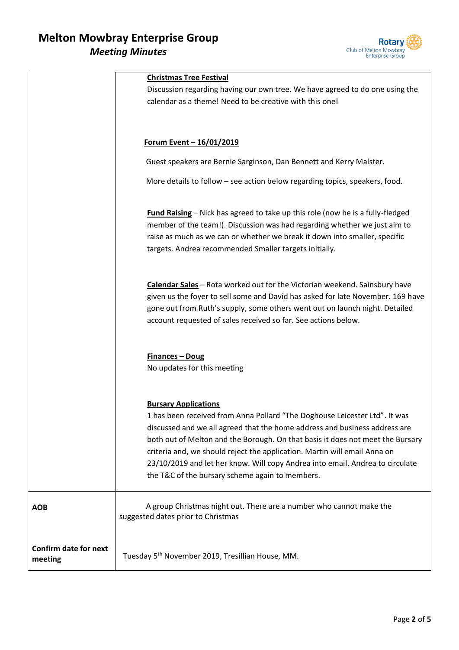

|                                         | <b>Christmas Tree Festival</b><br>Discussion regarding having our own tree. We have agreed to do one using the<br>calendar as a theme! Need to be creative with this one!                                                                                                                                                                                                                                                                                                                  |
|-----------------------------------------|--------------------------------------------------------------------------------------------------------------------------------------------------------------------------------------------------------------------------------------------------------------------------------------------------------------------------------------------------------------------------------------------------------------------------------------------------------------------------------------------|
|                                         | <u>Forum Event - 16/01/2019</u>                                                                                                                                                                                                                                                                                                                                                                                                                                                            |
|                                         | Guest speakers are Bernie Sarginson, Dan Bennett and Kerry Malster.                                                                                                                                                                                                                                                                                                                                                                                                                        |
|                                         | More details to follow - see action below regarding topics, speakers, food.                                                                                                                                                                                                                                                                                                                                                                                                                |
|                                         | <b>Fund Raising</b> – Nick has agreed to take up this role (now he is a fully-fledged<br>member of the team!). Discussion was had regarding whether we just aim to<br>raise as much as we can or whether we break it down into smaller, specific<br>targets. Andrea recommended Smaller targets initially.                                                                                                                                                                                 |
|                                         | Calendar Sales - Rota worked out for the Victorian weekend. Sainsbury have<br>given us the foyer to sell some and David has asked for late November. 169 have<br>gone out from Ruth's supply, some others went out on launch night. Detailed<br>account requested of sales received so far. See actions below.                                                                                                                                                                             |
|                                         | <b>Finances - Doug</b><br>No updates for this meeting                                                                                                                                                                                                                                                                                                                                                                                                                                      |
|                                         | <b>Bursary Applications</b><br>1 has been received from Anna Pollard "The Doghouse Leicester Ltd". It was<br>discussed and we all agreed that the home address and business address are<br>both out of Melton and the Borough. On that basis it does not meet the Bursary<br>criteria and, we should reject the application. Martin will email Anna on<br>23/10/2019 and let her know. Will copy Andrea into email. Andrea to circulate<br>the T&C of the bursary scheme again to members. |
| <b>AOB</b>                              | A group Christmas night out. There are a number who cannot make the<br>suggested dates prior to Christmas                                                                                                                                                                                                                                                                                                                                                                                  |
| <b>Confirm date for next</b><br>meeting | Tuesday 5 <sup>th</sup> November 2019, Tresillian House, MM.                                                                                                                                                                                                                                                                                                                                                                                                                               |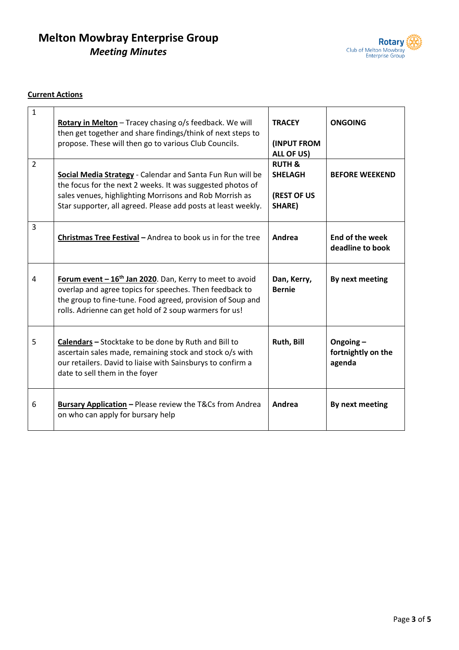

### **Current Actions**

| $\mathbf{1}$   | Rotary in Melton - Tracey chasing o/s feedback. We will<br>then get together and share findings/think of next steps to<br>propose. These will then go to various Club Councils.                                                                         | <b>TRACEY</b><br><b>(INPUT FROM</b><br>ALL OF US)            | <b>ONGOING</b>                              |
|----------------|---------------------------------------------------------------------------------------------------------------------------------------------------------------------------------------------------------------------------------------------------------|--------------------------------------------------------------|---------------------------------------------|
| $\overline{2}$ | Social Media Strategy - Calendar and Santa Fun Run will be<br>the focus for the next 2 weeks. It was suggested photos of<br>sales venues, highlighting Morrisons and Rob Morrish as<br>Star supporter, all agreed. Please add posts at least weekly.    | <b>RUTH &amp;</b><br><b>SHELAGH</b><br>(REST OF US<br>SHARE) | <b>BEFORE WEEKEND</b>                       |
| 3              | Christmas Tree Festival - Andrea to book us in for the tree                                                                                                                                                                                             | Andrea                                                       | <b>End of the week</b><br>deadline to book  |
| $\overline{4}$ | Forum event - 16 <sup>th</sup> Jan 2020. Dan, Kerry to meet to avoid<br>overlap and agree topics for speeches. Then feedback to<br>the group to fine-tune. Food agreed, provision of Soup and<br>rolls. Adrienne can get hold of 2 soup warmers for us! | Dan, Kerry,<br><b>Bernie</b>                                 | By next meeting                             |
| 5              | Calendars - Stocktake to be done by Ruth and Bill to<br>ascertain sales made, remaining stock and stock o/s with<br>our retailers. David to liaise with Sainsburys to confirm a<br>date to sell them in the foyer                                       | Ruth, Bill                                                   | Ongoing $-$<br>fortnightly on the<br>agenda |
| 6              | <b>Bursary Application</b> - Please review the T&Cs from Andrea<br>on who can apply for bursary help                                                                                                                                                    | Andrea                                                       | By next meeting                             |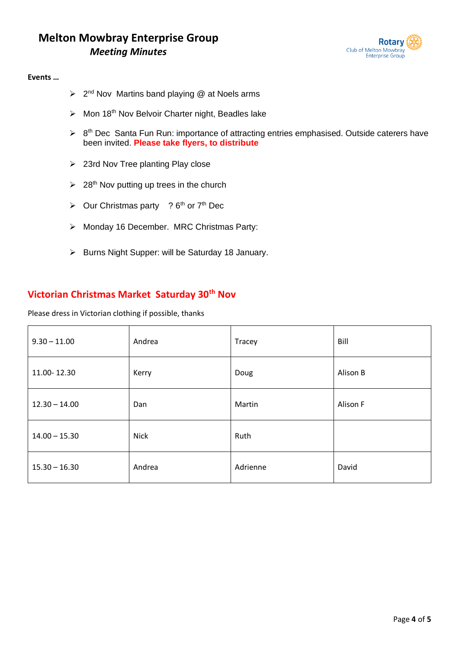

#### **Events …**

- ➢ 2 nd Nov Martins band playing @ at Noels arms
- $\triangleright$  Mon 18<sup>th</sup> Nov Belvoir Charter night, Beadles lake
- $\triangleright$  8<sup>th</sup> Dec Santa Fun Run: importance of attracting entries emphasised. Outside caterers have been invited. **Please take flyers, to distribute**
- ➢ 23rd Nov Tree planting Play close
- $\geq 28$ <sup>th</sup> Nov putting up trees in the church
- $\triangleright$  Our Christmas party ? 6<sup>th</sup> or 7<sup>th</sup> Dec
- ➢ Monday 16 December. MRC Christmas Party:
- ➢ Burns Night Supper: will be Saturday 18 January.

## **Victorian Christmas Market Saturday 30th Nov**

Please dress in Victorian clothing if possible, thanks

| $9.30 - 11.00$  | Andrea      | Tracey   | Bill     |
|-----------------|-------------|----------|----------|
| 11.00-12.30     | Kerry       | Doug     | Alison B |
| $12.30 - 14.00$ | Dan         | Martin   | Alison F |
| $14.00 - 15.30$ | <b>Nick</b> | Ruth     |          |
| $15.30 - 16.30$ | Andrea      | Adrienne | David    |